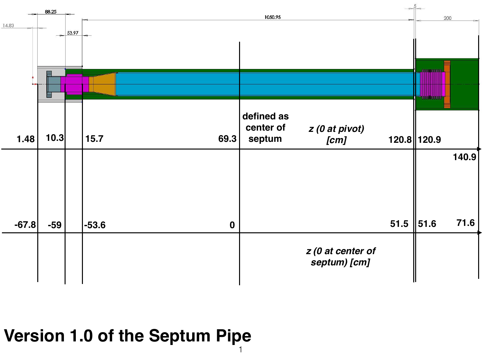

## **Version 1.0 of the Septum Pipe**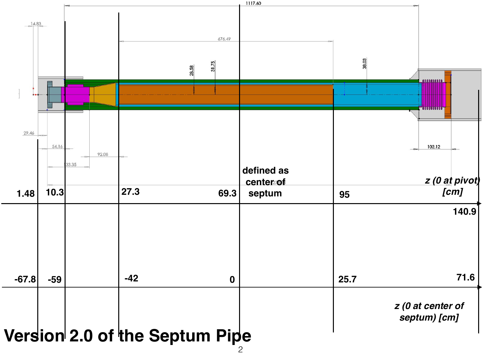

## $\mathcal{P}$